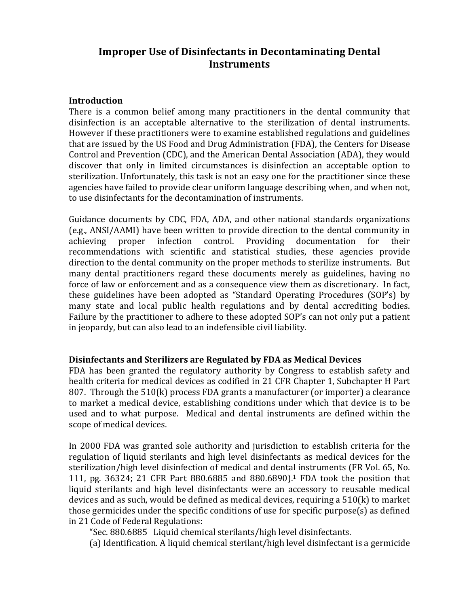# **Improper'Use'of'Disinfectants in'Decontaminating'Dental' Instruments'**

#### **Introduction**

There is a common belief among many practitioners in the dental community that disinfection is an acceptable alternative to the sterilization of dental instruments. However if these practitioners were to examine established regulations and guidelines that are issued by the US Food and Drug Administration (FDA), the Centers for Disease Control and Prevention (CDC), and the American Dental Association (ADA), they would discover that only in limited circumstances is disinfection an acceptable option to sterilization. Unfortunately, this task is not an easy one for the practitioner since these agencies have failed to provide clear uniform language describing when, and when not, to use disinfectants for the decontamination of instruments.

Guidance documents by CDC, FDA, ADA, and other national standards organizations (e.g., ANSI/AAMI) have been written to provide direction to the dental community in achieving proper infection control. Providing documentation for their recommendations with scientific and statistical studies, these agencies provide direction to the dental community on the proper methods to sterilize instruments. But many dental practitioners regard these documents merely as guidelines, having no force of law or enforcement and as a consequence view them as discretionary. In fact, these guidelines have been adopted as "Standard Operating Procedures (SOP's) by many state and local public health regulations and by dental accrediting bodies. Failure by the practitioner to adhere to these adopted SOP's can not only put a patient in jeopardy, but can also lead to an indefensible civil liability.

### **Disinfectants'and'Sterilizers'are'Regulated'by FDA as'Medical'Devices**

FDA has been granted the regulatory authority by Congress to establish safety and health criteria for medical devices as codified in 21 CFR Chapter 1, Subchapter H Part 807. Through the  $510(k)$  process FDA grants a manufacturer (or importer) a clearance to market a medical device, establishing conditions under which that device is to be used and to what purpose. Medical and dental instruments are defined within the scope of medical devices.

In 2000 FDA was granted sole authority and jurisdiction to establish criteria for the regulation of liquid sterilants and high level disinfectants as medical devices for the sterilization/high level disinfection of medical and dental instruments (FR Vol. 65, No. 111, pg.  $36324$ ; 21 CFR Part 880.6885 and 880.6890).<sup>1</sup> FDA took the position that liquid sterilants and high level disinfectants were an accessory to reusable medical devices and as such, would be defined as medical devices, requiring a  $510(k)$  to market those germicides under the specific conditions of use for specific purpose(s) as defined in 21 Code of Federal Regulations:

"Sec. 880.6885 Liquid chemical sterilants/high level disinfectants.

(a) Identification. A liquid chemical sterilant/high level disinfectant is a germicide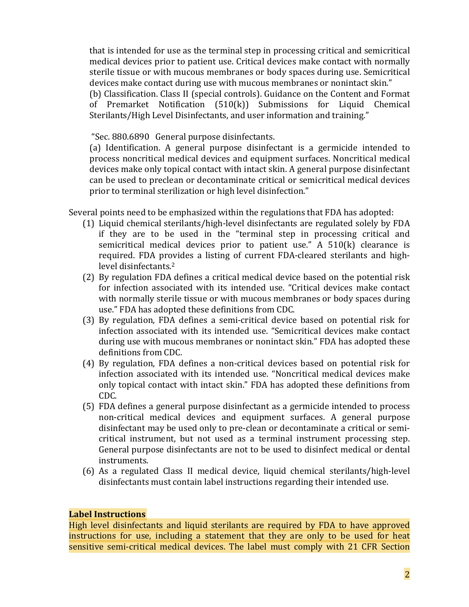that is intended for use as the terminal step in processing critical and semicritical medical devices prior to patient use. Critical devices make contact with normally sterile tissue or with mucous membranes or body spaces during use. Semicritical devices make contact during use with mucous membranes or nonintact skin."

(b) Classification. Class II (special controls). Guidance on the Content and Format of Premarket Notification  $(510(k))$  Submissions for Liquid Chemical Sterilants/High Level Disinfectants, and user information and training."

"Sec. 880.6890 General purpose disinfectants.

(a) Identification. A general purpose disinfectant is a germicide intended to process noncritical medical devices and equipment surfaces. Noncritical medical devices make only topical contact with intact skin. A general purpose disinfectant can be used to preclean or decontaminate critical or semicritical medical devices prior to terminal sterilization or high level disinfection."

Several points need to be emphasized within the regulations that FDA has adopted:

- (1) Liquid chemical sterilants/high-level disinfectants are regulated solely by FDA if they are to be used in the "terminal step in processing critical and semicritical medical devices prior to patient use." A  $510(k)$  clearance is required. FDA provides a listing of current FDA-cleared sterilants and highlevel disinfectants.<sup>2</sup>
- (2) By regulation FDA defines a critical medical device based on the potential risk for infection associated with its intended use. "Critical devices make contact with normally sterile tissue or with mucous membranes or body spaces during use." FDA has adopted these definitions from CDC.
- (3) By regulation, FDA defines a semi-critical device based on potential risk for infection associated with its intended use. "Semicritical devices make contact during use with mucous membranes or nonintact skin." FDA has adopted these definitions from CDC.
- (4) By regulation, FDA defines a non-critical devices based on potential risk for infection associated with its intended use. "Noncritical medical devices make only topical contact with intact skin." FDA has adopted these definitions from CDC.
- $(5)$  FDA defines a general purpose disinfectant as a germicide intended to process non-critical medical devices and equipment surfaces. A general purpose disinfectant may be used only to pre-clean or decontaminate a critical or semicritical instrument, but not used as a terminal instrument processing step. General purpose disinfectants are not to be used to disinfect medical or dental instruments.
- (6) As a regulated Class II medical device, liquid chemical sterilants/high-level disinfectants must contain label instructions regarding their intended use.

#### **Label'Instructions**

High level disinfectants and liquid sterilants are required by FDA to have approved instructions for use, including a statement that they are only to be used for heat sensitive semi-critical medical devices. The label must comply with 21 CFR Section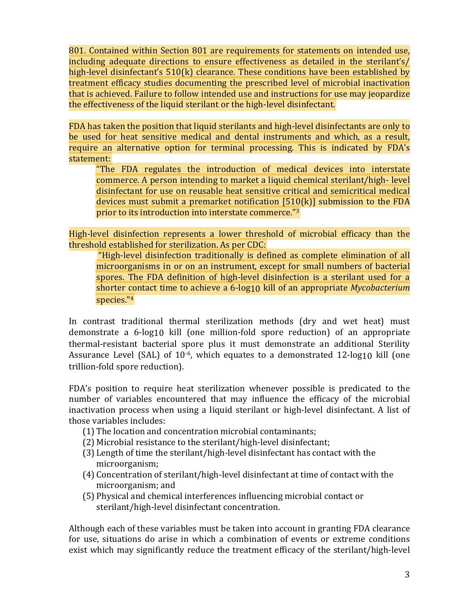801. Contained within Section 801 are requirements for statements on intended use, including adequate directions to ensure effectiveness as detailed in the sterilant's/ high-level disinfectant's  $510(k)$  clearance. These conditions have been established by treatment efficacy studies documenting the prescribed level of microbial inactivation that is achieved. Failure to follow intended use and instructions for use may jeopardize the effectiveness of the liquid sterilant or the high-level disinfectant.

FDA has taken the position that liquid sterilants and high-level disinfectants are only to be used for heat sensitive medical and dental instruments and which, as a result, require an alternative option for terminal processing. This is indicated by FDA's statement:

"The FDA regulates the introduction of medical devices into interstate commerce. A person intending to market a liquid chemical sterilant/high-level disinfectant for use on reusable heat sensitive critical and semicritical medical devices must submit a premarket notification  $[510(k)]$  submission to the FDA prior to its introduction into interstate commerce."3

High-level disinfection represents a lower threshold of microbial efficacy than the threshold established for sterilization. As per CDC:

"High-level disinfection traditionally is defined as complete elimination of all microorganisms in or on an instrument, except for small numbers of bacterial spores. The FDA definition of high-level disinfection is a sterilant used for a shorter contact time to achieve a 6-log10 kill of an appropriate *Mycobacterium* species."4

In contrast traditional thermal sterilization methods (dry and wet heat) must demonstrate a 6-log10 kill (one million-fold spore reduction) of an appropriate thermal-resistant bacterial spore plus it must demonstrate an additional Sterility Assurance Level (SAL) of  $10^{-6}$ , which equates to a demonstrated  $12$ -log10 kill (one trillion-fold spore reduction).

FDA's position to require heat sterilization whenever possible is predicated to the number of variables encountered that may influence the efficacy of the microbial inactivation process when using a liquid sterilant or high-level disinfectant. A list of those variables includes:

- $(1)$  The location and concentration microbial contaminants;
- $(2)$  Microbial resistance to the sterilant/high-level disinfectant;
- $(3)$  Length of time the sterilant/high-level disinfectant has contact with the microorganism;
- $(4)$  Concentration of sterilant/high-level disinfectant at time of contact with the microorganism;%and
- (5) Physical and chemical interferences influencing microbial contact or sterilant/high-level disinfectant concentration.

Although each of these variables must be taken into account in granting FDA clearance for use, situations do arise in which a combination of events or extreme conditions exist which may significantly reduce the treatment efficacy of the sterilant/high-level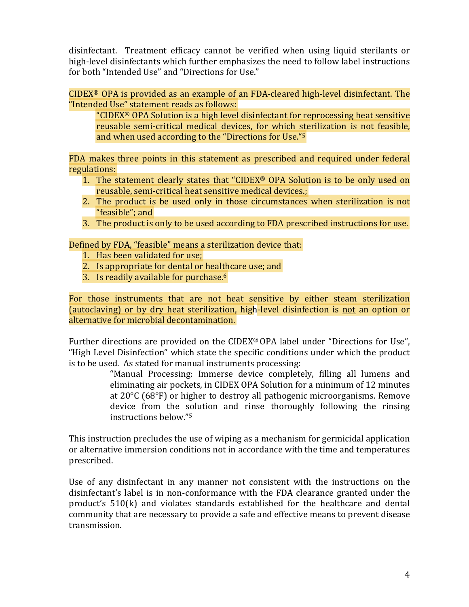disinfectant. Treatment efficacy cannot be verified when using liquid sterilants or high-level disinfectants which further emphasizes the need to follow label instructions for both "Intended Use" and "Directions for Use."

 $CIDEX<sup>®</sup>$  OPA is provided as an example of an FDA-cleared high-level disinfectant. The "Intended Use" statement reads as follows:

"CIDEX<sup>®</sup> OPA Solution is a high level disinfectant for reprocessing heat sensitive reusable semi-critical medical devices, for which sterilization is not feasible, and when used according to the "Directions for Use."<sup>5</sup>

FDA makes three points in this statement as prescribed and required under federal regulations:

- 1. The statement clearly states that "CIDEX® OPA Solution is to be only used on reusable, semi-critical heat sensitive medical devices.;
- 2. The product is be used only in those circumstances when sterilization is not "feasible"; and
- 3. The product is only to be used according to FDA prescribed instructions for use.

Defined by FDA, "feasible" means a sterilization device that:

- 1. Has been validated for use;
- 2. Is appropriate for dental or healthcare use; and
- 3. Is readily available for purchase. $6$

For those instruments that are not heat sensitive by either steam sterilization (autoclaving) or by dry heat sterilization, high-level disinfection is not an option or alternative for microbial decontamination.

Further directions are provided on the CIDEX® OPA label under "Directions for Use", "High Level Disinfection" which state the specific conditions under which the product is to be used. As stated for manual instruments processing:

> "Manual Processing: Immerse device completely, filling all lumens and eliminating air pockets, in CIDEX OPA Solution for a minimum of 12 minutes at  $20^{\circ}$ C (68°F) or higher to destroy all pathogenic microorganisms. Remove device from the solution and rinse thoroughly following the rinsing instructions below."<sup>5</sup>

This instruction precludes the use of wiping as a mechanism for germicidal application or alternative immersion conditions not in accordance with the time and temperatures prescribed.%

Use of any disinfectant in any manner not consistent with the instructions on the disinfectant's label is in non-conformance with the FDA clearance granted under the product's 510(k) and violates standards established for the healthcare and dental community that are necessary to provide a safe and effective means to prevent disease transmission.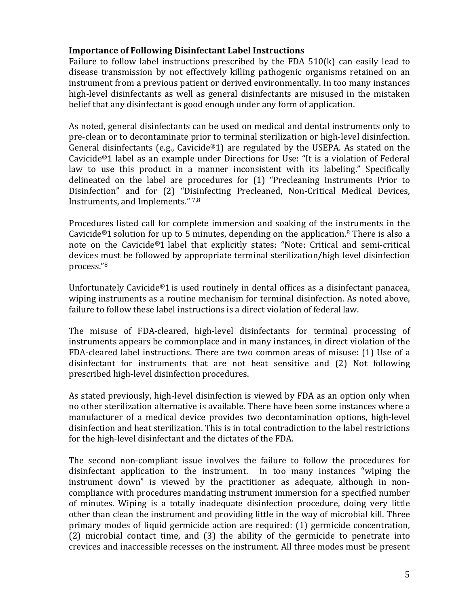### **Importance'of Following Disinfectant'Label'Instructions**

Failure to follow label instructions prescribed by the FDA  $510(k)$  can easily lead to disease transmission by not effectively killing pathogenic organisms retained on an instrument from a previous patient or derived environmentally. In too many instances high-level disinfectants as well as general disinfectants are misused in the mistaken belief that any disinfectant is good enough under any form of application.

As noted, general disinfectants can be used on medical and dental instruments only to pre-clean or to decontaminate prior to terminal sterilization or high-level disinfection. General disinfectants (e.g., Cavicide®1) are regulated by the USEPA. As stated on the Cavicide<sup>®</sup>1 label as an example under Directions for Use: "It is a violation of Federal law to use this product in a manner inconsistent with its labeling." Specifically delineated on the label are procedures for  $(1)$  "Precleaning Instruments Prior to Disinfection" and for (2) "Disinfecting Precleaned, Non-Critical Medical Devices, Instruments, and Implements."  $7,8$ 

Procedures listed call for complete immersion and soaking of the instruments in the Cavicide<sup>®</sup>1 solution for up to 5 minutes, depending on the application.<sup>8</sup> There is also a note on the Cavicide®1 label that explicitly states: "Note: Critical and semi-critical devices must be followed by appropriate terminal sterilization/high level disinfection process. $"8"$ 

Unfortunately Cavicide®1 is used routinely in dental offices as a disinfectant panacea, wiping instruments as a routine mechanism for terminal disinfection. As noted above, failure to follow these label instructions is a direct violation of federal law.

The misuse of FDA-cleared, high-level disinfectants for terminal processing of instruments appears be commonplace and in many instances, in direct violation of the FDA-cleared label instructions. There are two common areas of misuse: (1) Use of a disinfectant for instruments that are not heat sensitive and (2) Not following prescribed high-level disinfection procedures.

As stated previously, high-level disinfection is viewed by FDA as an option only when no other sterilization alternative is available. There have been some instances where a manufacturer of a medical device provides two decontamination options, high-level disinfection and heat sterilization. This is in total contradiction to the label restrictions for the high-level disinfectant and the dictates of the FDA.

The second non-compliant issue involves the failure to follow the procedures for disinfectant application to the instrument. In too many instances "wiping the instrument down" is viewed by the practitioner as adequate, although in noncompliance with procedures mandating instrument immersion for a specified number of minutes. Wiping is a totally inadequate disinfection procedure, doing very little other than clean the instrument and providing little in the way of microbial kill. Three primary modes of liquid germicide action are required:  $(1)$  germicide concentration, (2) microbial contact time, and (3) the ability of the germicide to penetrate into crevices and inaccessible recesses on the instrument. All three modes must be present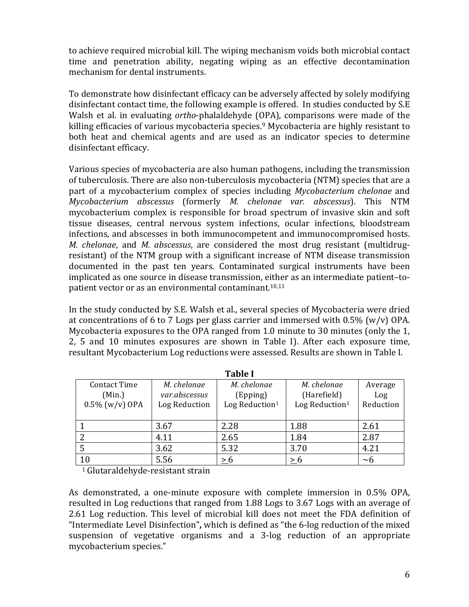to achieve required microbial kill. The wiping mechanism voids both microbial contact time and penetration ability, negating wiping as an effective decontamination mechanism for dental instruments.

To demonstrate how disinfectant efficacy can be adversely affected by solely modifying disinfectant contact time, the following example is offered. In studies conducted by S.E Walsh et al. in evaluating *ortho-phalaldehyde* (OPA), comparisons were made of the killing efficacies of various mycobacteria species.<sup>9</sup> Mycobacteria are highly resistant to both heat and chemical agents and are used as an indicator species to determine disinfectant efficacy.

Various species of mycobacteria are also human pathogens, including the transmission of tuberculosis. There are also non-tuberculosis mycobacteria (NTM) species that are a part of a mycobacterium complex of species including *Mycobacterium chelonae* and *Mycobacterium abscessus* (formerly *M. chelonae var. abscessus*). This NTM mycobacterium complex is responsible for broad spectrum of invasive skin and soft tissue diseases, central nervous system infections, ocular infections, bloodstream infections, and abscesses in both immunocompetent and immunocompromised hosts. *M. chelonae, and <i>M. abscessus, are considered the most drug resistant (multidrug*resistant) of the NTM group with a significant increase of NTM disease transmission documented in the past ten vears. Contaminated surgical instruments have been implicated as one source in disease transmission, either as an intermediate patient-topatient vector or as an environmental contaminant.<sup>10,11</sup>

In the study conducted by S.E. Walsh et al., several species of Mycobacteria were dried at concentrations of 6 to 7 Logs per glass carrier and immersed with 0.5% (w/v) OPA. Mycobacteria exposures to the OPA ranged from 1.0 minute to 30 minutes (only the 1, 2, 5 and 10 minutes exposures are shown in Table I). After each exposure time, resultant Mycobacterium Log reductions were assessed. Results are shown in Table I.

| l'able l          |               |                            |                            |           |
|-------------------|---------------|----------------------------|----------------------------|-----------|
| Contact Time      | M. chelonae   | M. chelonae                | M. chelonae                | Average   |
| (Min.)            | var.abscessus | (Epping)                   | (Harefield)                | Log       |
| $0.5\%$ (w/v) OPA | Log Reduction | Log Reduction <sup>1</sup> | Log Reduction <sup>1</sup> | Reduction |
|                   |               |                            |                            |           |
|                   | 3.67          | 2.28                       | 1.88                       | 2.61      |
|                   | 4.11          | 2.65                       | 1.84                       | 2.87      |
|                   | 3.62          | 5.32                       | 3.70                       | 4.21      |
| 10 <sup>1</sup>   | 5.56          | > 6                        | > 6                        | $\sim$ 6  |

**Table** 

 $1$  Glutaraldehyde-resistant strain

As demonstrated, a one-minute exposure with complete immersion in  $0.5\%$  OPA, resulted in Log reductions that ranged from 1.88 Logs to 3.67 Logs with an average of 2.61 Log reduction. This level of microbial kill does not meet the FDA definition of "Intermediate Level Disinfection", which is defined as "the 6-log reduction of the mixed suspension of vegetative organisms and a 3-log reduction of an appropriate mycobacterium species."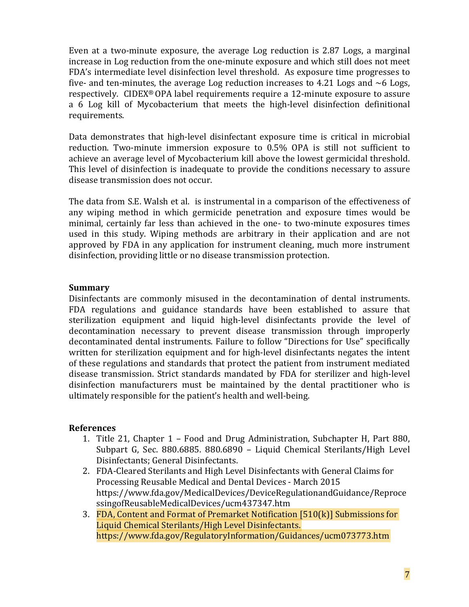Even at a two-minute exposure, the average Log reduction is 2.87 Logs, a marginal increase in Log reduction from the one-minute exposure and which still does not meet FDA's intermediate level disinfection level threshold. As exposure time progresses to five- and ten-minutes, the average Log reduction increases to 4.21 Logs and  $~6$  Logs, respectively. CIDEX<sup>®</sup> OPA label requirements require a 12-minute exposure to assure a 6 Log kill of Mycobacterium that meets the high-level disinfection definitional requirements.

Data demonstrates that high-level disinfectant exposure time is critical in microbial reduction. Two-minute immersion exposure to 0.5% OPA is still not sufficient to achieve an average level of Mycobacterium kill above the lowest germicidal threshold. This level of disinfection is inadequate to provide the conditions necessary to assure disease transmission does not occur.

The data from S.E. Walsh et al. is instrumental in a comparison of the effectiveness of any wiping method in which germicide penetration and exposure times would be minimal, certainly far less than achieved in the one- to two-minute exposures times used in this study. Wiping methods are arbitrary in their application and are not approved by FDA in any application for instrument cleaning, much more instrument disinfection, providing little or no disease transmission protection.

### **Summary**

Disinfectants are commonly misused in the decontamination of dental instruments. FDA regulations and guidance standards have been established to assure that sterilization equipment and liquid high-level disinfectants provide the level of decontamination necessary to prevent disease transmission through improperly decontaminated dental instruments. Failure to follow "Directions for Use" specifically written for sterilization equipment and for high-level disinfectants negates the intent of these regulations and standards that protect the patient from instrument mediated disease transmission. Strict standards mandated by FDA for sterilizer and high-level disinfection manufacturers must be maintained by the dental practitioner who is ultimately responsible for the patient's health and well-being.

### **References**

- 1. Title 21, Chapter 1 Food and Drug Administration, Subchapter H, Part 880, Subpart G, Sec. 880.6885. 880.6890 – Liquid Chemical Sterilants/High Level Disinfectants; General Disinfectants.
- 2. FDA-Cleared Sterilants and High Level Disinfectants with General Claims for Processing Reusable Medical and Dental Devices - March 2015 https://www.fda.gov/MedicalDevices/DeviceRegulationandGuidance/Reproce ssingofReusableMedicalDevices/ucm437347.htm
- 3. FDA, Content and Format of Premarket Notification  $[510(k)]$  Submissions for Liquid Chemical Sterilants/High Level Disinfectants. https://www.fda.gov/RegulatoryInformation/Guidances/ucm073773.htm